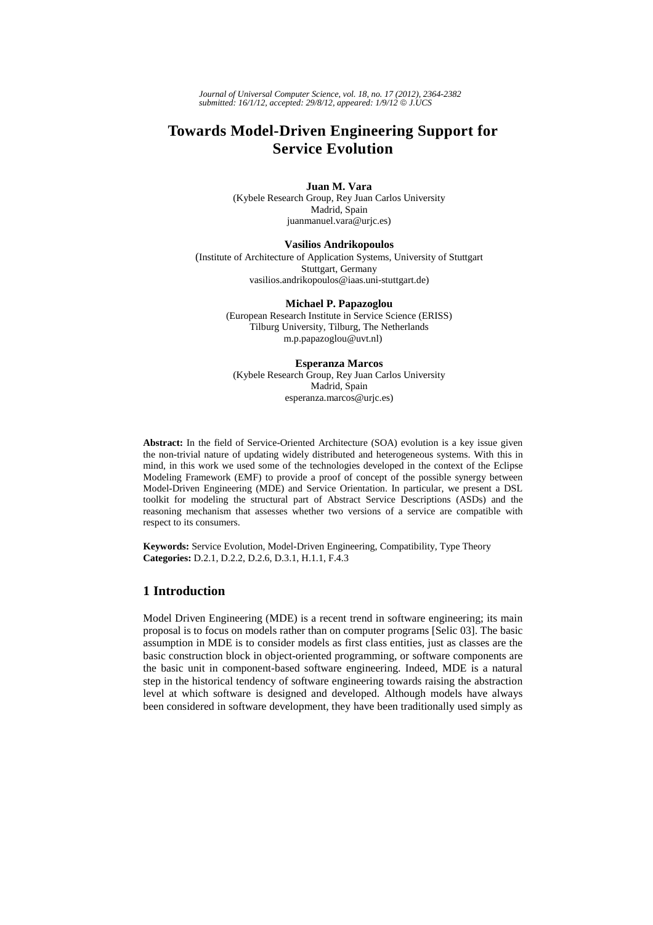*Journal of Universal Computer Science, vol. 18, no. 17 (2012), 2364-2382 submitted: 16/1/12, accepted: 29/8/12, appeared: 1/9/12* © *J.UCS*

# **Towards Model-Driven Engineering Support for Service Evolution**

**Juan M. Vara**  (Kybele Research Group, Rey Juan Carlos University Madrid, Spain juanmanuel.vara@urjc.es)

#### **Vasilios Andrikopoulos**

(Institute of Architecture of Application Systems, University of Stuttgart Stuttgart, Germany vasilios.andrikopoulos@iaas.uni-stuttgart.de)

#### **Michael P. Papazoglou**

(European Research Institute in Service Science (ERISS) Tilburg University, Tilburg, The Netherlands m.p.papazoglou@uvt.nl)

### **Esperanza Marcos**  (Kybele Research Group, Rey Juan Carlos University Madrid, Spain esperanza.marcos@urjc.es)

**Abstract:** In the field of Service-Oriented Architecture (SOA) evolution is a key issue given the non-trivial nature of updating widely distributed and heterogeneous systems. With this in mind, in this work we used some of the technologies developed in the context of the Eclipse Modeling Framework (EMF) to provide a proof of concept of the possible synergy between Model-Driven Engineering (MDE) and Service Orientation. In particular, we present a DSL toolkit for modeling the structural part of Abstract Service Descriptions (ASDs) and the reasoning mechanism that assesses whether two versions of a service are compatible with respect to its consumers.

**Keywords:** Service Evolution, Model-Driven Engineering, Compatibility, Type Theory **Categories:** D.2.1, D.2.2, D.2.6, D.3.1, H.1.1, F.4.3

## **1 Introduction**

Model Driven Engineering (MDE) is a recent trend in software engineering; its main proposal is to focus on models rather than on computer programs [Selic 03]. The basic assumption in MDE is to consider models as first class entities, just as classes are the basic construction block in object-oriented programming, or software components are the basic unit in component-based software engineering. Indeed, MDE is a natural step in the historical tendency of software engineering towards raising the abstraction level at which software is designed and developed. Although models have always been considered in software development, they have been traditionally used simply as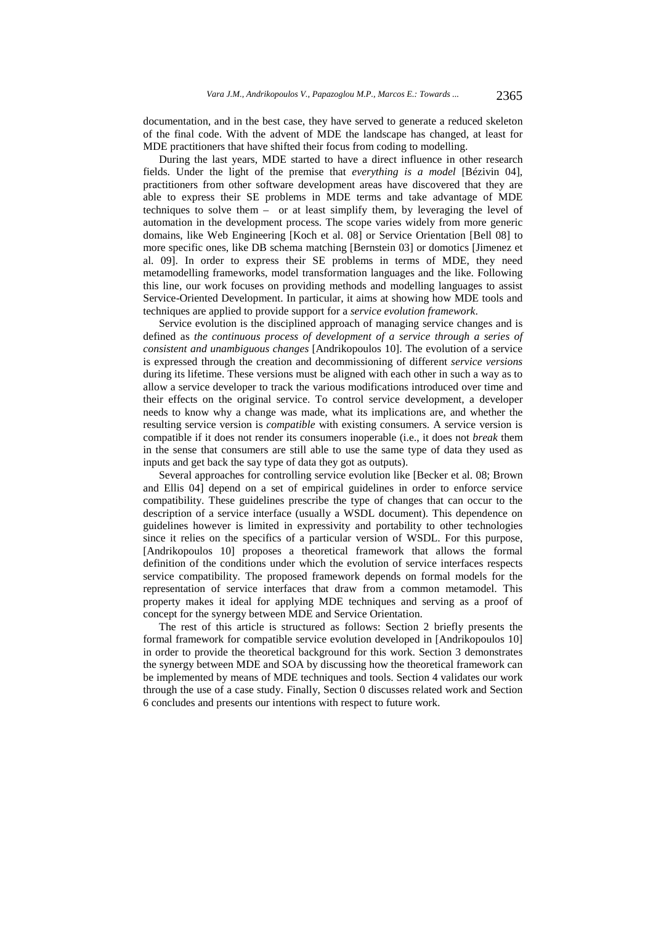documentation, and in the best case, they have served to generate a reduced skeleton of the final code. With the advent of MDE the landscape has changed, at least for MDE practitioners that have shifted their focus from coding to modelling.

During the last years, MDE started to have a direct influence in other research fields. Under the light of the premise that *everything is a model* [Bézivin 04], practitioners from other software development areas have discovered that they are able to express their SE problems in MDE terms and take advantage of MDE techniques to solve them – or at least simplify them, by leveraging the level of automation in the development process. The scope varies widely from more generic domains, like Web Engineering [Koch et al. 08] or Service Orientation [Bell 08] to more specific ones, like DB schema matching [Bernstein 03] or domotics [Jimenez et al. 09]. In order to express their SE problems in terms of MDE, they need metamodelling frameworks, model transformation languages and the like. Following this line, our work focuses on providing methods and modelling languages to assist Service-Oriented Development. In particular, it aims at showing how MDE tools and techniques are applied to provide support for a *service evolution framework*.

Service evolution is the disciplined approach of managing service changes and is defined as *the continuous process of development of a service through a series of consistent and unambiguous changes* [Andrikopoulos 10]. The evolution of a service is expressed through the creation and decommissioning of different *service versions* during its lifetime. These versions must be aligned with each other in such a way as to allow a service developer to track the various modifications introduced over time and their effects on the original service. To control service development, a developer needs to know why a change was made, what its implications are, and whether the resulting service version is *compatible* with existing consumers. A service version is compatible if it does not render its consumers inoperable (i.e., it does not *break* them in the sense that consumers are still able to use the same type of data they used as inputs and get back the say type of data they got as outputs).

Several approaches for controlling service evolution like [Becker et al. 08; Brown and Ellis 04] depend on a set of empirical guidelines in order to enforce service compatibility. These guidelines prescribe the type of changes that can occur to the description of a service interface (usually a WSDL document). This dependence on guidelines however is limited in expressivity and portability to other technologies since it relies on the specifics of a particular version of WSDL. For this purpose, [Andrikopoulos 10] proposes a theoretical framework that allows the formal definition of the conditions under which the evolution of service interfaces respects service compatibility. The proposed framework depends on formal models for the representation of service interfaces that draw from a common metamodel. This property makes it ideal for applying MDE techniques and serving as a proof of concept for the synergy between MDE and Service Orientation.

The rest of this article is structured as follows: Section 2 briefly presents the formal framework for compatible service evolution developed in [Andrikopoulos 10] in order to provide the theoretical background for this work. Section 3 demonstrates the synergy between MDE and SOA by discussing how the theoretical framework can be implemented by means of MDE techniques and tools. Section 4 validates our work through the use of a case study. Finally, Section 0 discusses related work and Section 6 concludes and presents our intentions with respect to future work.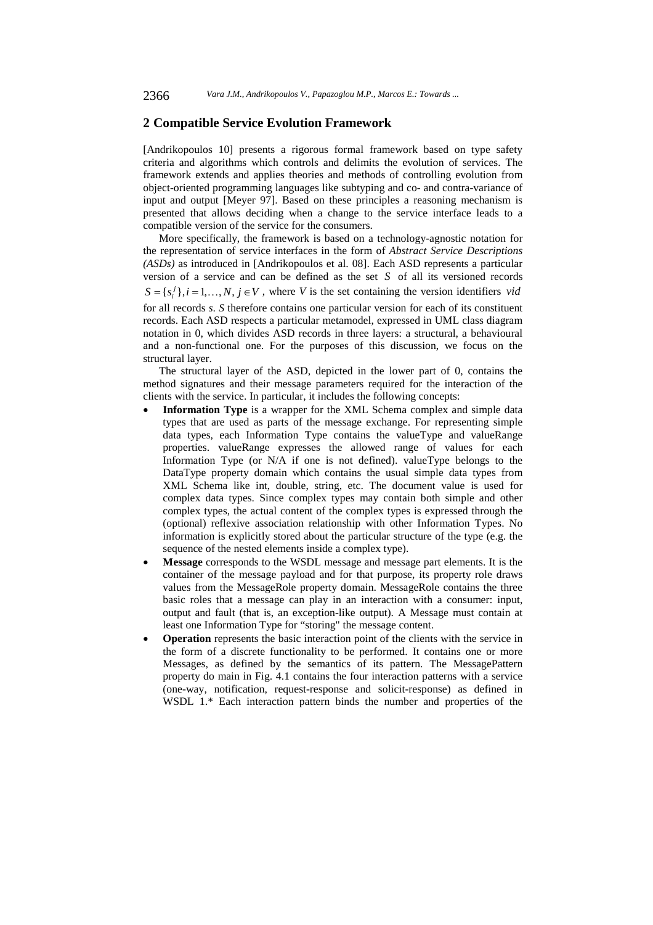## **2 Compatible Service Evolution Framework**

[Andrikopoulos 10] presents a rigorous formal framework based on type safety criteria and algorithms which controls and delimits the evolution of services. The framework extends and applies theories and methods of controlling evolution from object-oriented programming languages like subtyping and co- and contra-variance of input and output [Meyer 97]. Based on these principles a reasoning mechanism is presented that allows deciding when a change to the service interface leads to a compatible version of the service for the consumers.

More specifically, the framework is based on a technology-agnostic notation for the representation of service interfaces in the form of *Abstract Service Descriptions (ASDs)* as introduced in [Andrikopoulos et al. 08]. Each ASD represents a particular version of a service and can be defined as the set *S* of all its versioned records  $S = \{s_i^j\}, i = 1, \ldots, N, j \in V$ , where *V* is the set containing the version identifiers *vid* for all records *s*. *S* therefore contains one particular version for each of its constituent records. Each ASD respects a particular metamodel, expressed in UML class diagram notation in 0, which divides ASD records in three layers: a structural, a behavioural and a non-functional one. For the purposes of this discussion, we focus on the structural layer.

The structural layer of the ASD, depicted in the lower part of 0, contains the method signatures and their message parameters required for the interaction of the clients with the service. In particular, it includes the following concepts:

- **Information Type** is a wrapper for the XML Schema complex and simple data types that are used as parts of the message exchange. For representing simple data types, each Information Type contains the valueType and valueRange properties. valueRange expresses the allowed range of values for each Information Type (or N/A if one is not defined). valueType belongs to the DataType property domain which contains the usual simple data types from XML Schema like int, double, string, etc. The document value is used for complex data types. Since complex types may contain both simple and other complex types, the actual content of the complex types is expressed through the (optional) reflexive association relationship with other Information Types. No information is explicitly stored about the particular structure of the type (e.g. the sequence of the nested elements inside a complex type).
- **Message** corresponds to the WSDL message and message part elements. It is the container of the message payload and for that purpose, its property role draws values from the MessageRole property domain. MessageRole contains the three basic roles that a message can play in an interaction with a consumer: input, output and fault (that is, an exception-like output). A Message must contain at least one Information Type for "storing" the message content.
- **Operation** represents the basic interaction point of the clients with the service in the form of a discrete functionality to be performed. It contains one or more Messages, as defined by the semantics of its pattern. The MessagePattern property do main in Fig. 4.1 contains the four interaction patterns with a service (one-way, notification, request-response and solicit-response) as defined in WSDL 1.\* Each interaction pattern binds the number and properties of the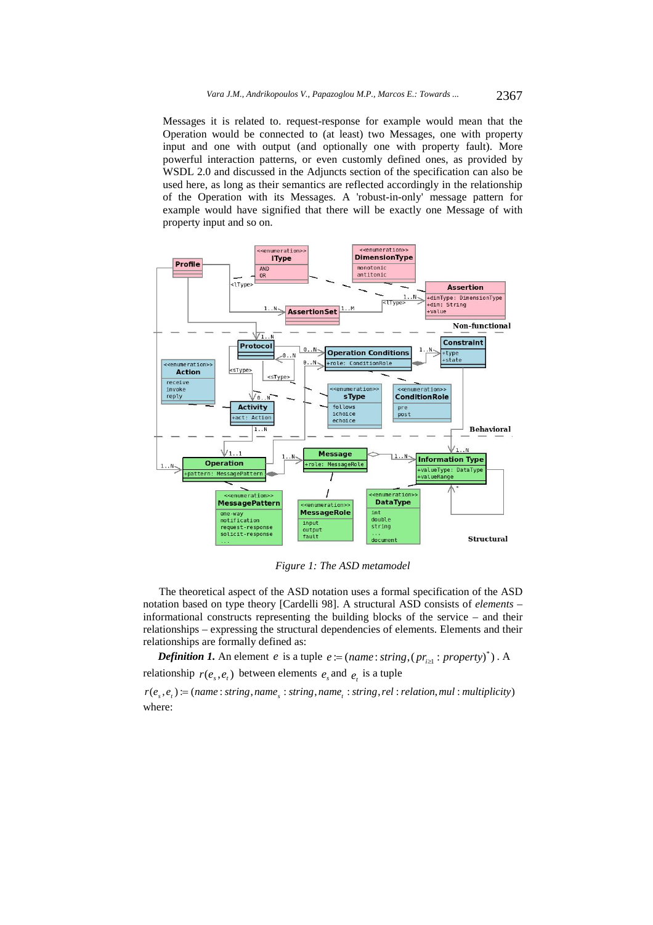Messages it is related to. request-response for example would mean that the Operation would be connected to (at least) two Messages, one with property input and one with output (and optionally one with property fault). More powerful interaction patterns, or even customly defined ones, as provided by WSDL 2.0 and discussed in the Adjuncts section of the specification can also be used here, as long as their semantics are reflected accordingly in the relationship of the Operation with its Messages. A 'robust-in-only' message pattern for example would have signified that there will be exactly one Message of with property input and so on.



*Figure 1: The ASD metamodel* 

The theoretical aspect of the ASD notation uses a formal specification of the ASD notation based on type theory [Cardelli 98]. A structural ASD consists of *elements* – informational constructs representing the building blocks of the service – and their relationships – expressing the structural dependencies of elements. Elements and their relationships are formally defined as:

*Definition 1.* An element *e* is a tuple  $e := (name: string, (pr_{i \ge 1}: property)^*)$ . A relationship  $r(e_s, e_t)$  between elements  $e_s$  and  $e_t$  is a tuple

 $r(e_s, e_t) := (name: string, name_s: string, name_t: string, name_t: string, rel: relation, mul: multiplicity)$ where: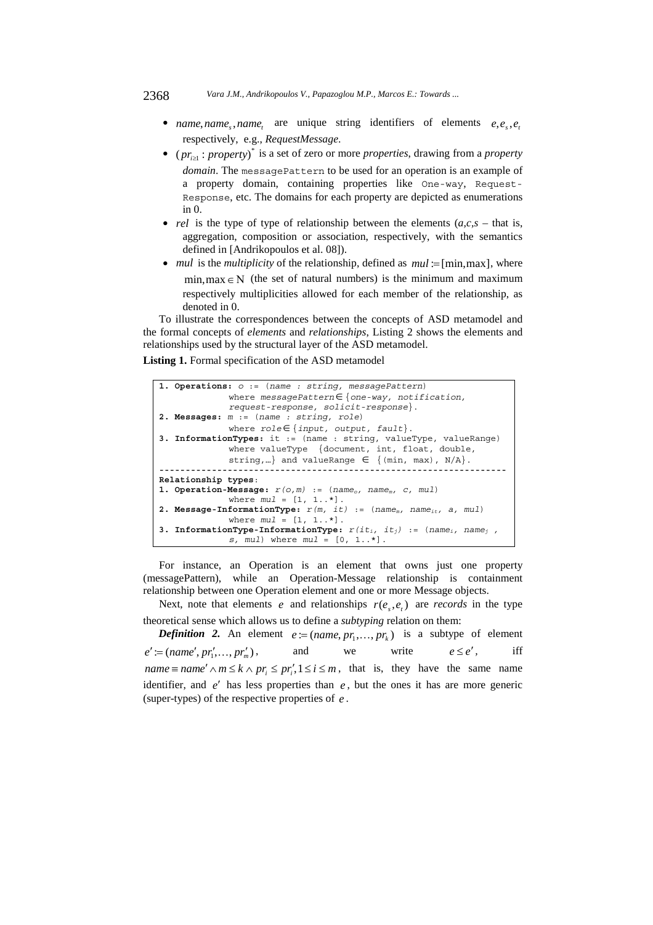#### 2368 *Vara J.M., Andrikopoulos V., Papazoglou M.P., Marcos E.: Towards ...*

- *name, name, name, are unique string identifiers of elements*  $e, e, e$ respectively, e.g., *RequestMessage*.
- ( $pr_{i\geq 1}$ : *property*)<sup>\*</sup> is a set of zero or more *properties*, drawing from a *property domain*. The messagePattern to be used for an operation is an example of a property domain, containing properties like One-way, Request-Response, etc. The domains for each property are depicted as enumerations in 0.
- *rel* is the type of type of relationship between the elements  $(a, c, s -$  that is, aggregation, composition or association, respectively, with the semantics defined in [Andrikopoulos et al. 08]).
- *mul* is the *multiplicity* of the relationship, defined as  $mul := [min,max]$ , where  $min,max \in N$  (the set of natural numbers) is the minimum and maximum respectively multiplicities allowed for each member of the relationship, as denoted in 0.

To illustrate the correspondences between the concepts of ASD metamodel and the formal concepts of *elements* and *relationships*, Listing 2 shows the elements and relationships used by the structural layer of the ASD metamodel.

**Listing 1.** Formal specification of the ASD metamodel

```
1. Operations: o := (name : string, messagePattern) 
              where messagePattern{one-way, notification, 
              request-response, solicit-response}. 
2. Messages: m := (name : string, role) 
              where role{input, output, fault}. 
3. InformationTypes: it := (name : string, valueType, valueRange) 
              where valueType {document, int, float, double, 
              string,...} and valueRange \in {(min, max), N/A}.
                        ------------------------------------------------------------------ 
Relationship types: 
1. Operation-Message: r(o,m) := (nameo, namem, c, mul) 
              where mul = [1, 1..*]. 
2. Message-InformationType: r(m, it) := (namem, nameit, a, mul) 
              where mul = [1, 1..*].
3. InformationType-InformationType: r(iti, itj) := (namei, namej , 
              s, mul) where mul = [0, 1..*].
```
For instance, an Operation is an element that owns just one property (messagePattern), while an Operation-Message relationship is containment relationship between one Operation element and one or more Message objects.

Next, note that elements *e* and relationships  $r(e_s, e_t)$  are *records* in the type theoretical sense which allows us to define a *subtyping* relation on them:

*Definition 2.* An element  $e := (name, pr_1, ..., pr_k)$  is a subtype of element  $e' := (name', pr'_1, \ldots, pr'_m),$  and we write  $e \leq e',$  iff *name*  $\equiv$  *name'*  $\land$  *m*  $\le$  *k*  $\land$  *pr<sub>i</sub>*  $\le$  *pr<sub>i</sub>*, 1  $\le$  *i*  $\le$  *m*, that is, they have the same name identifier, and  $e'$  has less properties than  $e$ , but the ones it has are more generic (super-types) of the respective properties of *e* .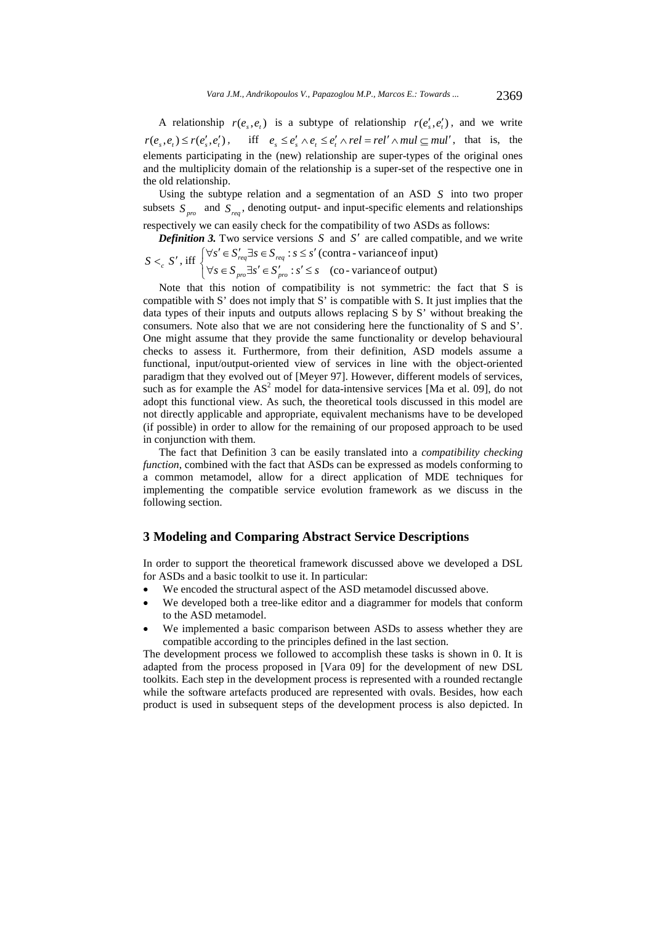A relationship  $r(e_s, e_t)$  is a subtype of relationship  $r(e_s, e_t')$ , and we write  $r(e_{,}, e_{,}) \le r(e'_{,}, e'_{,})$ , iff  $e_{,} \le e'_{,} \wedge e_{,} \le e'_{,} \wedge rel = rel' \wedge mul \subseteq mul'$ , that is, the elements participating in the (new) relationship are super-types of the original ones and the multiplicity domain of the relationship is a super-set of the respective one in the old relationship.

Using the subtype relation and a segmentation of an ASD *S* into two proper subsets  $S_{pro}$  and  $S_{res}$ , denoting output- and input-specific elements and relationships respectively we can easily check for the compatibility of two ASDs as follows:

*Definition 3.* Two service versions  $S$  and  $S'$  are called compatible, and we write

 $S <_{c} S'$ , iff  $\overline{\mathfrak{l}}$ ₹  $\left\lceil \right\rceil$  $\forall s \in S_{nro} \exists s' \in S'_{nro} : s' \leq$  $\forall s' \in S'_{req} \exists s \in S_{req} : s \leq s'$  $:s' \leq s$  (co-variance of output) :  $s \leq s'$  (contra - variance of input)  $s \in S$ <sub>nro</sub> $\exists s' \in S'$ <sub>nro</sub>;  $s' \leq s$  $s' \in S'_{\text{req}} \exists s \in S_{\text{req}} : s \leq s$  $p_{ro} \rightarrow \infty$   $\rightarrow p_{ro}$  $_{req} \rightarrow s \subseteq v_{req}$ 

Note that this notion of compatibility is not symmetric: the fact that S is compatible with S' does not imply that S' is compatible with S. It just implies that the data types of their inputs and outputs allows replacing S by S' without breaking the consumers. Note also that we are not considering here the functionality of S and S'. One might assume that they provide the same functionality or develop behavioural checks to assess it. Furthermore, from their definition, ASD models assume a functional, input/output-oriented view of services in line with the object-oriented paradigm that they evolved out of [Meyer 97]. However, different models of services, such as for example the  $AS^2$  model for data-intensive services [Ma et al. 09], do not adopt this functional view. As such, the theoretical tools discussed in this model are not directly applicable and appropriate, equivalent mechanisms have to be developed (if possible) in order to allow for the remaining of our proposed approach to be used in conjunction with them.

The fact that Definition 3 can be easily translated into a *compatibility checking function*, combined with the fact that ASDs can be expressed as models conforming to a common metamodel, allow for a direct application of MDE techniques for implementing the compatible service evolution framework as we discuss in the following section.

## **3 Modeling and Comparing Abstract Service Descriptions**

In order to support the theoretical framework discussed above we developed a DSL for ASDs and a basic toolkit to use it. In particular:

- We encoded the structural aspect of the ASD metamodel discussed above.
- We developed both a tree-like editor and a diagrammer for models that conform to the ASD metamodel.
- We implemented a basic comparison between ASDs to assess whether they are compatible according to the principles defined in the last section.

The development process we followed to accomplish these tasks is shown in 0. It is adapted from the process proposed in [Vara 09] for the development of new DSL toolkits. Each step in the development process is represented with a rounded rectangle while the software artefacts produced are represented with ovals. Besides, how each product is used in subsequent steps of the development process is also depicted. In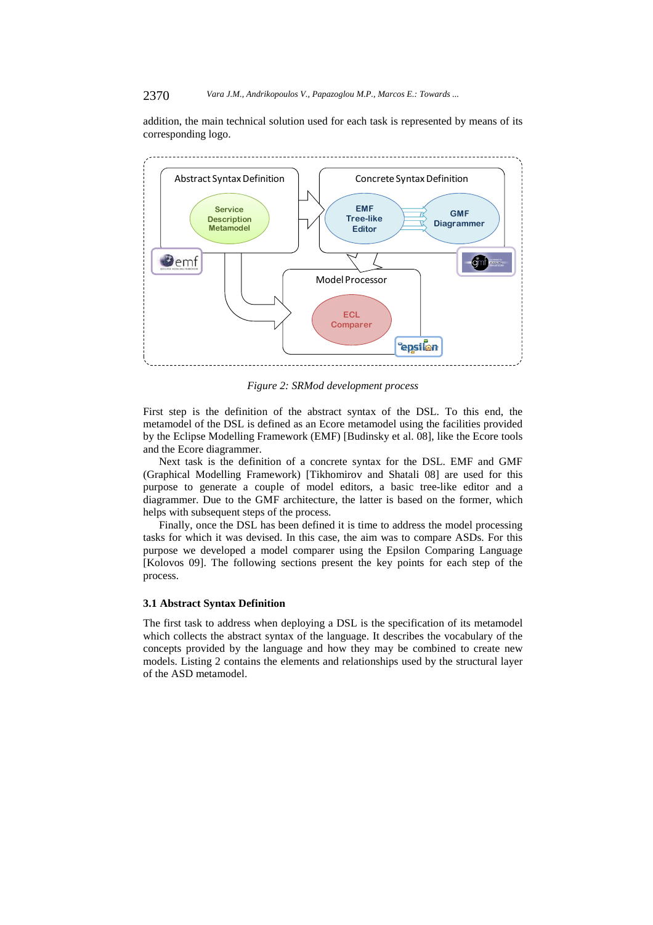#### 2370 *Vara J.M., Andrikopoulos V., Papazoglou M.P., Marcos E.: Towards ...*

addition, the main technical solution used for each task is represented by means of its corresponding logo.



*Figure 2: SRMod development process* 

First step is the definition of the abstract syntax of the DSL. To this end, the metamodel of the DSL is defined as an Ecore metamodel using the facilities provided by the Eclipse Modelling Framework (EMF) [Budinsky et al. 08], like the Ecore tools and the Ecore diagrammer.

Next task is the definition of a concrete syntax for the DSL. EMF and GMF (Graphical Modelling Framework) [Tikhomirov and Shatali 08] are used for this purpose to generate a couple of model editors, a basic tree-like editor and a diagrammer. Due to the GMF architecture, the latter is based on the former, which helps with subsequent steps of the process.

Finally, once the DSL has been defined it is time to address the model processing tasks for which it was devised. In this case, the aim was to compare ASDs. For this purpose we developed a model comparer using the Epsilon Comparing Language [Kolovos 09]. The following sections present the key points for each step of the process.

#### **3.1 Abstract Syntax Definition**

The first task to address when deploying a DSL is the specification of its metamodel which collects the abstract syntax of the language. It describes the vocabulary of the concepts provided by the language and how they may be combined to create new models. Listing 2 contains the elements and relationships used by the structural layer of the ASD metamodel.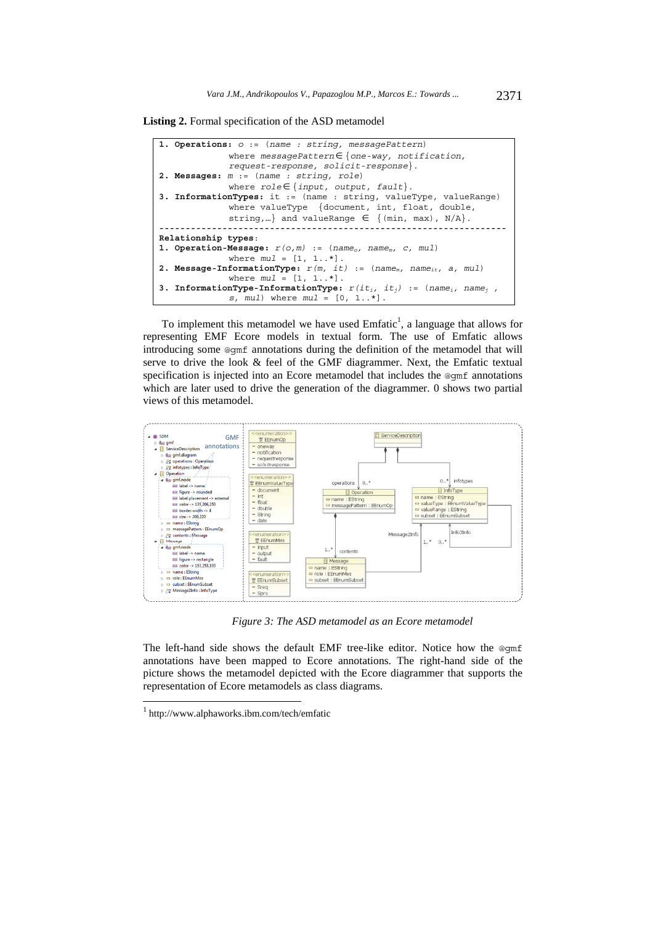**Listing 2.** Formal specification of the ASD metamodel

| 1. Operations: $o := (name : string, messagePattern)$                                           |
|-------------------------------------------------------------------------------------------------|
| where $messagePattern \in \{one-way, notification,$                                             |
| request-response, solicit-response.                                                             |
| 2. Messages: $m := (name : string, role)$                                                       |
| where $role \in \{ input, output, fault\}.$                                                     |
| 3. InformationTypes: it := (name : string, valueType, valueRange)                               |
| where valueType $\{document, int, float, double,$                                               |
| string,} and valueRange $\in$ {(min, max), N/A}.                                                |
|                                                                                                 |
|                                                                                                 |
| Relationship types:                                                                             |
| 1. Operation-Message: $r(o,m) := (name_o, name_m, c, mul)$                                      |
| where $mul = [1, 1, .*]$ .                                                                      |
| 2. Message-InformationType: $r(m, it) := (name_m, name_{it}, a, mul)$                           |
| where $mul = [1, 1, .*]$ .                                                                      |
| 3. InformationType-InformationType: $r(it_i, it_j)$ := (name <sub>i</sub> , name <sub>i</sub> , |

To implement this metamodel we have used  $Emfatic<sup>1</sup>$ , a language that allows for representing EMF Ecore models in textual form. The use of Emfatic allows introducing some @gmf annotations during the definition of the metamodel that will serve to drive the look & feel of the GMF diagrammer. Next, the Emfatic textual specification is injected into an Ecore metamodel that includes the @qmf annotations which are later used to drive the generation of the diagrammer. 0 shows two partial views of this metamodel.



*Figure 3: The ASD metamodel as an Ecore metamodel* 

The left-hand side shows the default EMF tree-like editor. Notice how the @gmf annotations have been mapped to Ecore annotations. The right-hand side of the picture shows the metamodel depicted with the Ecore diagrammer that supports the representation of Ecore metamodels as class diagrams.

l

<sup>1</sup> http://www.alphaworks.ibm.com/tech/emfatic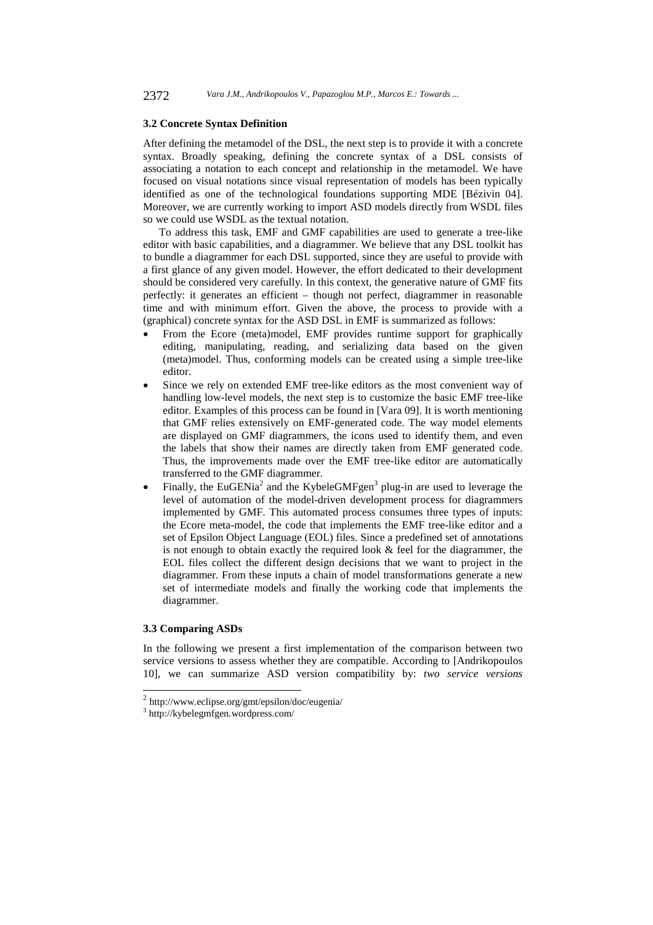#### **3.2 Concrete Syntax Definition**

After defining the metamodel of the DSL, the next step is to provide it with a concrete syntax. Broadly speaking, defining the concrete syntax of a DSL consists of associating a notation to each concept and relationship in the metamodel. We have focused on visual notations since visual representation of models has been typically identified as one of the technological foundations supporting MDE [Bézivin 04]. Moreover, we are currently working to import ASD models directly from WSDL files so we could use WSDL as the textual notation.

To address this task, EMF and GMF capabilities are used to generate a tree-like editor with basic capabilities, and a diagrammer. We believe that any DSL toolkit has to bundle a diagrammer for each DSL supported, since they are useful to provide with a first glance of any given model. However, the effort dedicated to their development should be considered very carefully. In this context, the generative nature of GMF fits perfectly: it generates an efficient – though not perfect, diagrammer in reasonable time and with minimum effort. Given the above, the process to provide with a (graphical) concrete syntax for the ASD DSL in EMF is summarized as follows:

- From the Ecore (meta)model, EMF provides runtime support for graphically editing, manipulating, reading, and serializing data based on the given (meta)model. Thus, conforming models can be created using a simple tree-like editor.
- Since we rely on extended EMF tree-like editors as the most convenient way of handling low-level models, the next step is to customize the basic EMF tree-like editor. Examples of this process can be found in [Vara 09]. It is worth mentioning that GMF relies extensively on EMF-generated code. The way model elements are displayed on GMF diagrammers, the icons used to identify them, and even the labels that show their names are directly taken from EMF generated code. Thus, the improvements made over the EMF tree-like editor are automatically transferred to the GMF diagrammer.
- Finally, the EuGENia<sup>2</sup> and the KybeleGMFgen<sup>3</sup> plug-in are used to leverage the level of automation of the model-driven development process for diagrammers implemented by GMF. This automated process consumes three types of inputs: the Ecore meta-model, the code that implements the EMF tree-like editor and a set of Epsilon Object Language (EOL) files. Since a predefined set of annotations is not enough to obtain exactly the required look  $\&$  feel for the diagrammer, the EOL files collect the different design decisions that we want to project in the diagrammer. From these inputs a chain of model transformations generate a new set of intermediate models and finally the working code that implements the diagrammer.

#### **3.3 Comparing ASDs**

l

In the following we present a first implementation of the comparison between two service versions to assess whether they are compatible. According to [Andrikopoulos 10], we can summarize ASD version compatibility by: *two service versions* 

 $^{2}$  http://www.eclipse.org/gmt/epsilon/doc/eugenia/

<sup>3</sup> http://kybelegmfgen.wordpress.com/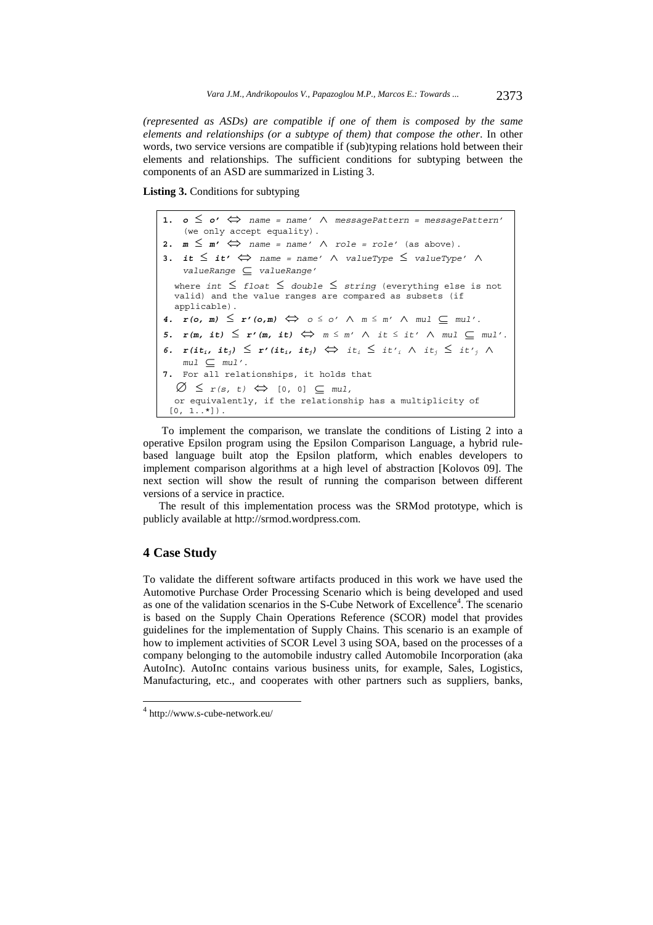*(represented as ASDs) are compatible if one of them is composed by the same elements and relationships (or a subtype of them) that compose the other*. In other words, two service versions are compatible if (sub)typing relations hold between their elements and relationships. The sufficient conditions for subtyping between the components of an ASD are summarized in Listing 3.

**Listing 3.** Conditions for subtyping

**1.**  $o \leq o' \Leftrightarrow$  name = name'  $\wedge$  messagePattern = messagePattern' (we only accept equality). 2.  $m \leq m' \Leftrightarrow$  name = name'  $\wedge$  role = role' (as above). **3.** *it*  $\leq$  *it'*  $\Leftrightarrow$  *name* = *name'*  $\wedge$  *valueType*  $\leq$  *valueType'*  $\wedge$ *valueRange valueRange'* where *int*  $\le$  *float*  $\le$  *double*  $\le$  *string* (everything else is not valid) and the value ranges are compared as subsets (if applicable). 4.  $\mathbf{r}(\mathbf{o}, \mathbf{m}) \leq \mathbf{r}'(\mathbf{o}, \mathbf{m}) \Leftrightarrow \mathbf{o} \leq \mathbf{o}' \land \mathbf{m} \leq \mathbf{m}' \land \mathbf{m} \mathbf{u} \subset \mathbf{m} \mathbf{u} \mathbf{u}'.$ *5.*  $\mathbf{r}(\mathbf{m}, \mathbf{it}) \leq \mathbf{r}'(\mathbf{m}, \mathbf{it}) \iff \mathbf{m} \leq \mathbf{m}' \land \mathbf{it} \leq \mathbf{it}' \land \mathbf{mul} \subset \mathbf{mul}'.$ 6.  $\mathbf{r}(i\mathbf{t}_i, i\mathbf{t}_j) \leq \mathbf{r}'(i\mathbf{t}_i, i\mathbf{t}_j) \Leftrightarrow i\mathbf{t}_i \leq i\mathbf{t'}_i \wedge i\mathbf{t}_j \leq i\mathbf{t'}_j \wedge j$  $mul \subseteq mul'$ . **7.** For all relationships, it holds that  $\varnothing \leq r(s, t) \Leftrightarrow [0, 0] \subseteq \mathbb{m}$ ul, or equivalently, if the relationship has a multiplicity of  $[0, 1..*]$ ).

To implement the comparison, we translate the conditions of Listing 2 into a operative Epsilon program using the Epsilon Comparison Language, a hybrid rulebased language built atop the Epsilon platform, which enables developers to implement comparison algorithms at a high level of abstraction [Kolovos 09]. The next section will show the result of running the comparison between different versions of a service in practice.

The result of this implementation process was the SRMod prototype, which is publicly available at http://srmod.wordpress.com.

## **4 Case Study**

l

To validate the different software artifacts produced in this work we have used the Automotive Purchase Order Processing Scenario which is being developed and used as one of the validation scenarios in the S-Cube Network of Excellence<sup>4</sup>. The scenario is based on the Supply Chain Operations Reference (SCOR) model that provides guidelines for the implementation of Supply Chains. This scenario is an example of how to implement activities of SCOR Level 3 using SOA, based on the processes of a company belonging to the automobile industry called Automobile Incorporation (aka AutoInc). AutoInc contains various business units, for example, Sales, Logistics, Manufacturing, etc., and cooperates with other partners such as suppliers, banks,

<sup>4</sup> http://www.s-cube-network.eu/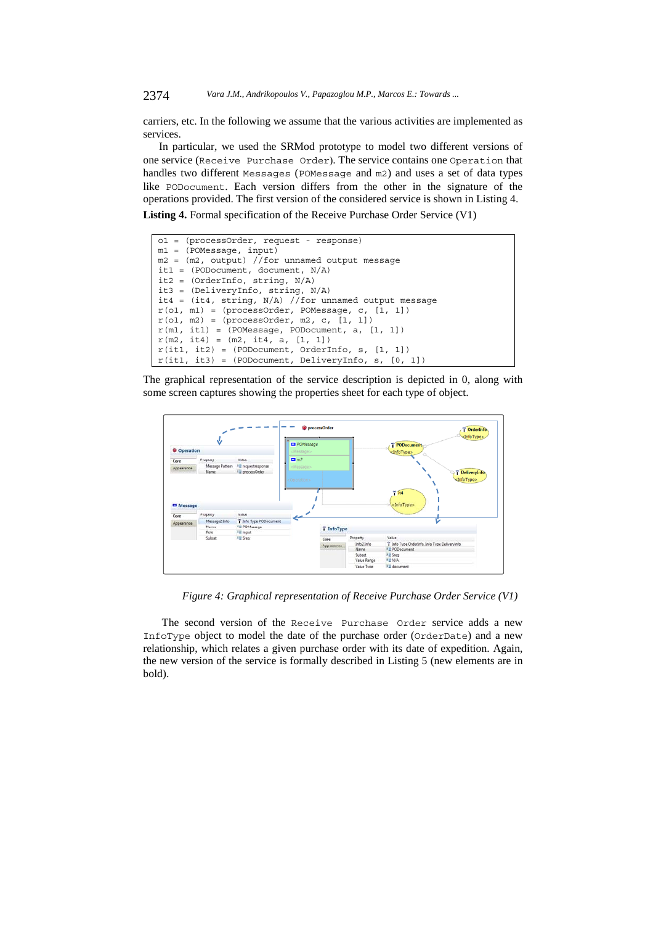carriers, etc. In the following we assume that the various activities are implemented as services.

In particular, we used the SRMod prototype to model two different versions of one service (Receive Purchase Order). The service contains one Operation that handles two different Messages (POMessage and m2) and uses a set of data types like PODocument. Each version differs from the other in the signature of the operations provided. The first version of the considered service is shown in Listing 4. **Listing 4.** Formal specification of the Receive Purchase Order Service (V1)

```
o1 = (processOrder, request - response) 
m1 = (POMessage, input)
m2 = (m2, output) //for unnamed output message 
it1 = (PODocument, document, N/A) 
it2 = (OrderInfo, string, N/A) 
it3 = (DeliveryInfo, string, N/A) 
it4 = (it4, string, N/A) //for unnamed output message
r(o1, m1) = (processOrder, POMessage, c, [1, 1]) 
r(o1, m2) = (processOrder, m2, c, [1, 1])
r(m1, it1) = (POMessage, PODocument, a, [1, 1])r(m2, it4) = (m2, it4, a, [1, 1])r(it1, it2) = (PODocument, OrderInfo, s, [1, 1])r(it1, it3) = (PODocument, DeliveryInfo, s, [0, 1])
```
The graphical representation of the service description is depicted in 0, along with some screen captures showing the properties sheet for each type of object.



*Figure 4: Graphical representation of Receive Purchase Order Service (V1)* 

The second version of the Receive Purchase Order service adds a new InfoType object to model the date of the purchase order (OrderDate) and a new relationship, which relates a given purchase order with its date of expedition. Again, the new version of the service is formally described in Listing 5 (new elements are in bold).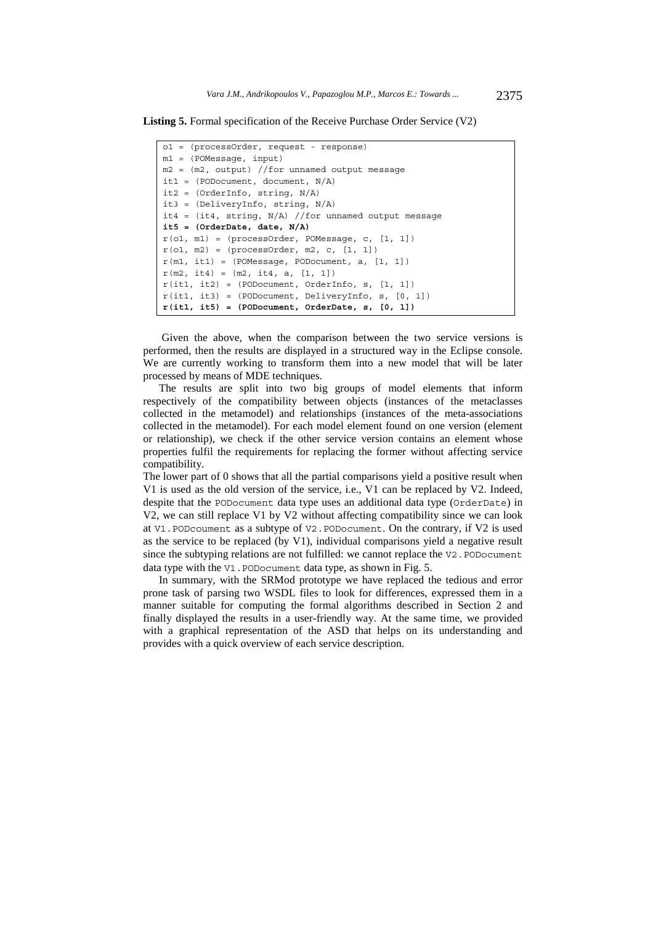**Listing 5.** Formal specification of the Receive Purchase Order Service (V2)

| $o1 = (processOrder, request - response)$               |
|---------------------------------------------------------|
| $ml = (POMessage, input)$                               |
| $m2 = (m2, output)$ //for unnamed output message        |
| it1 = $(PODocument, document, N/A)$                     |
| it2 = $(OrderInfo, string, N/A)$                        |
| it3 = $(DeliveryInfo, string, N/A)$                     |
| it4 = $(it4, string, N/A)$ //for unnamed output message |
| it5 = $(OrderDate, date, N/A)$                          |
| $r(01, m1) = (processOrder, POMessage, c, [1, 1])$      |
| $r(01, m2) = (processOrder, m2, c, [1, 1])$             |
| $r(m1, it1) = (POMessage, PODocument, a, [1, 1])$       |
| $r(m2, it4) = (m2, it4, a, [1, 1])$                     |
| $r(it1, it2) = (PODocument, OrderInfo, s, [1, 1])$      |
| $r(it1, it3) = (PODocument, DeliveryInfo, s, [0, 1])$   |
| $r(itl, it5) = (PODocument, OrderDate, s, [0, 1])$      |

Given the above, when the comparison between the two service versions is performed, then the results are displayed in a structured way in the Eclipse console. We are currently working to transform them into a new model that will be later processed by means of MDE techniques.

The results are split into two big groups of model elements that inform respectively of the compatibility between objects (instances of the metaclasses collected in the metamodel) and relationships (instances of the meta-associations collected in the metamodel). For each model element found on one version (element or relationship), we check if the other service version contains an element whose properties fulfil the requirements for replacing the former without affecting service compatibility.

The lower part of 0 shows that all the partial comparisons yield a positive result when V1 is used as the old version of the service, i.e., V1 can be replaced by V2. Indeed, despite that the PODocument data type uses an additional data type (OrderDate) in V2, we can still replace V1 by V2 without affecting compatibility since we can look at V1.PODcoument as a subtype of V2.PODocument. On the contrary, if V2 is used as the service to be replaced (by V1), individual comparisons yield a negative result since the subtyping relations are not fulfilled: we cannot replace the V2. PODocument data type with the V1. PODocument data type, as shown in Fig. 5.

In summary, with the SRMod prototype we have replaced the tedious and error prone task of parsing two WSDL files to look for differences, expressed them in a manner suitable for computing the formal algorithms described in Section 2 and finally displayed the results in a user-friendly way. At the same time, we provided with a graphical representation of the ASD that helps on its understanding and provides with a quick overview of each service description.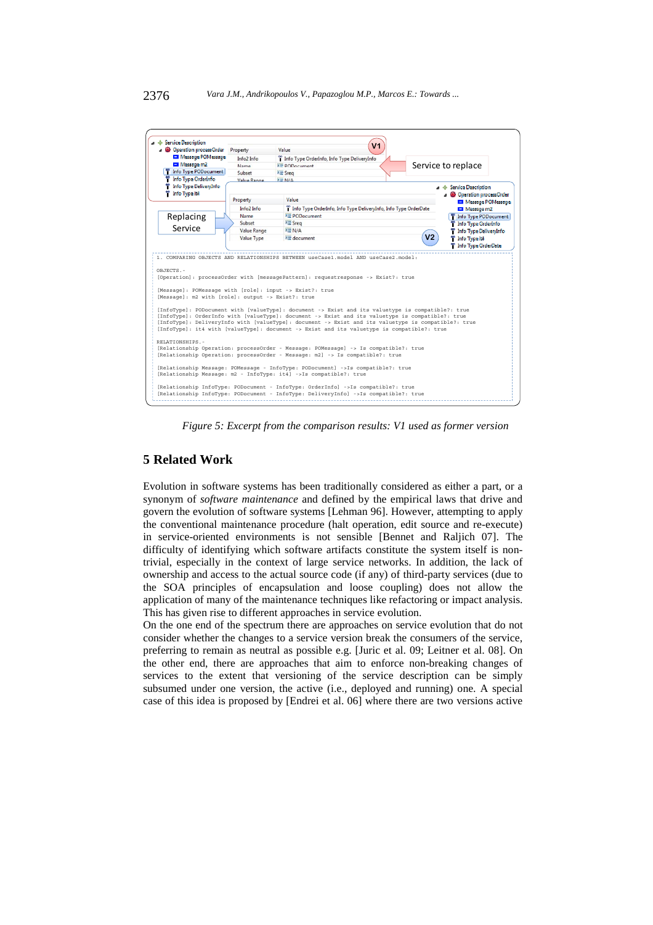

*Figure 5: Excerpt from the comparison results: V1 used as former version* 

## **5 Related Work**

Evolution in software systems has been traditionally considered as either a part, or a synonym of *software maintenance* and defined by the empirical laws that drive and govern the evolution of software systems [Lehman 96]. However, attempting to apply the conventional maintenance procedure (halt operation, edit source and re-execute) in service-oriented environments is not sensible [Bennet and Raljich 07]. The difficulty of identifying which software artifacts constitute the system itself is nontrivial, especially in the context of large service networks. In addition, the lack of ownership and access to the actual source code (if any) of third-party services (due to the SOA principles of encapsulation and loose coupling) does not allow the application of many of the maintenance techniques like refactoring or impact analysis. This has given rise to different approaches in service evolution.

On the one end of the spectrum there are approaches on service evolution that do not consider whether the changes to a service version break the consumers of the service, preferring to remain as neutral as possible e.g. [Juric et al. 09; Leitner et al. 08]. On the other end, there are approaches that aim to enforce non-breaking changes of services to the extent that versioning of the service description can be simply subsumed under one version, the active (i.e., deployed and running) one. A special case of this idea is proposed by [Endrei et al. 06] where there are two versions active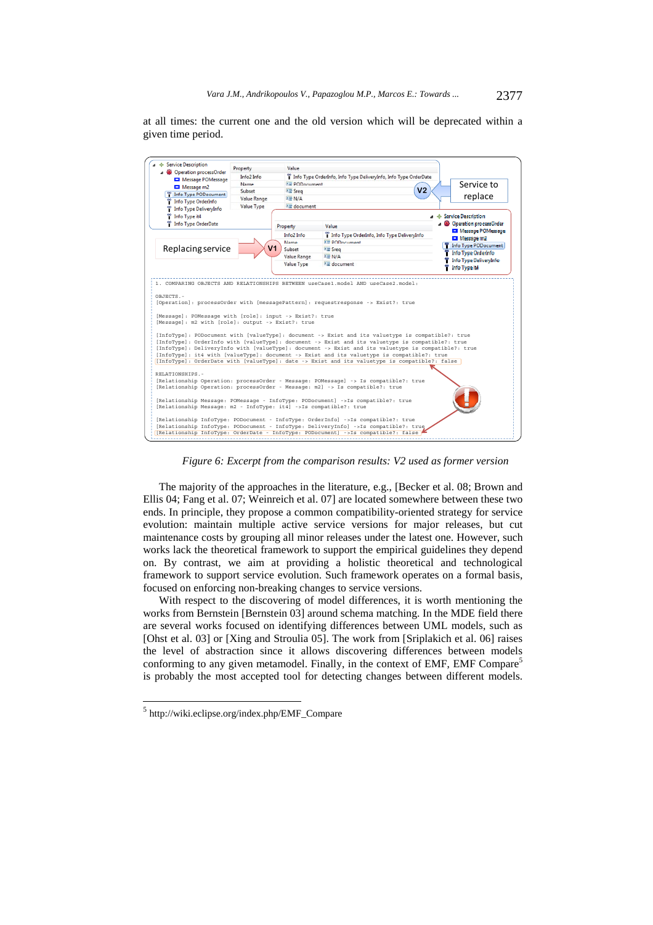at all times: the current one and the old version which will be deprecated within a given time period.



*Figure 6: Excerpt from the comparison results: V2 used as former version* 

The majority of the approaches in the literature, e.g., [Becker et al. 08; Brown and Ellis 04; Fang et al. 07; Weinreich et al. 07] are located somewhere between these two ends. In principle, they propose a common compatibility-oriented strategy for service evolution: maintain multiple active service versions for major releases, but cut maintenance costs by grouping all minor releases under the latest one. However, such works lack the theoretical framework to support the empirical guidelines they depend on. By contrast, we aim at providing a holistic theoretical and technological framework to support service evolution. Such framework operates on a formal basis, focused on enforcing non-breaking changes to service versions.

With respect to the discovering of model differences, it is worth mentioning the works from Bernstein [Bernstein 03] around schema matching. In the MDE field there are several works focused on identifying differences between UML models, such as [Ohst et al. 03] or [Xing and Stroulia 05]. The work from [Sriplakich et al. 06] raises the level of abstraction since it allows discovering differences between models conforming to any given metamodel. Finally, in the context of EMF, EMF Compare<sup>5</sup> is probably the most accepted tool for detecting changes between different models.

l

<sup>5</sup> http://wiki.eclipse.org/index.php/EMF\_Compare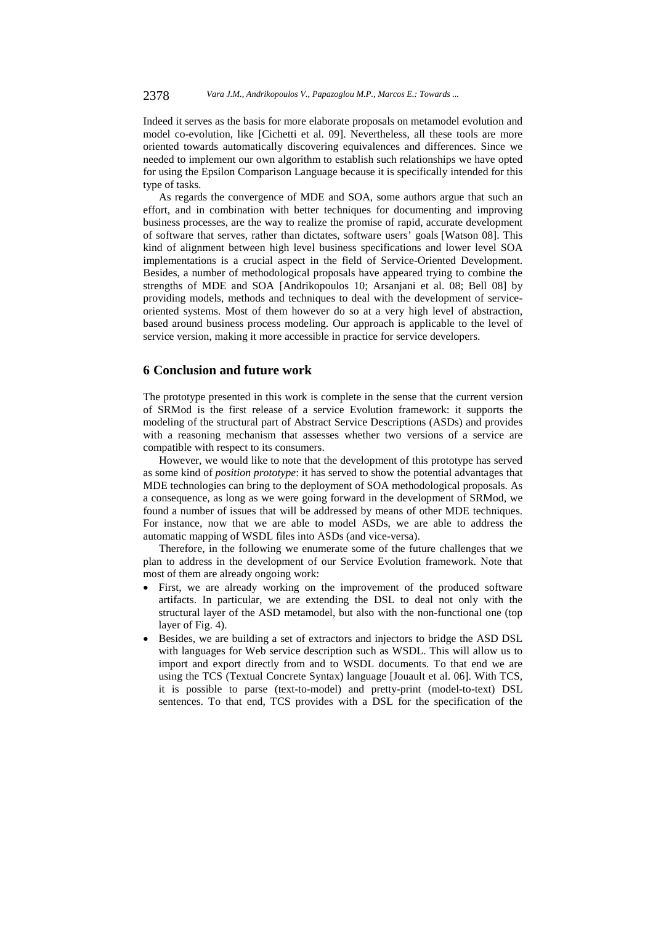Indeed it serves as the basis for more elaborate proposals on metamodel evolution and model co-evolution, like [Cichetti et al. 09]. Nevertheless, all these tools are more oriented towards automatically discovering equivalences and differences. Since we needed to implement our own algorithm to establish such relationships we have opted for using the Epsilon Comparison Language because it is specifically intended for this type of tasks.

As regards the convergence of MDE and SOA, some authors argue that such an effort, and in combination with better techniques for documenting and improving business processes, are the way to realize the promise of rapid, accurate development of software that serves, rather than dictates, software users' goals [Watson 08]. This kind of alignment between high level business specifications and lower level SOA implementations is a crucial aspect in the field of Service-Oriented Development. Besides, a number of methodological proposals have appeared trying to combine the strengths of MDE and SOA [Andrikopoulos 10; Arsanjani et al. 08; Bell 08] by providing models, methods and techniques to deal with the development of serviceoriented systems. Most of them however do so at a very high level of abstraction, based around business process modeling. Our approach is applicable to the level of service version, making it more accessible in practice for service developers.

## **6 Conclusion and future work**

The prototype presented in this work is complete in the sense that the current version of SRMod is the first release of a service Evolution framework: it supports the modeling of the structural part of Abstract Service Descriptions (ASDs) and provides with a reasoning mechanism that assesses whether two versions of a service are compatible with respect to its consumers.

However, we would like to note that the development of this prototype has served as some kind of *position prototype*: it has served to show the potential advantages that MDE technologies can bring to the deployment of SOA methodological proposals. As a consequence, as long as we were going forward in the development of SRMod, we found a number of issues that will be addressed by means of other MDE techniques. For instance, now that we are able to model ASDs, we are able to address the automatic mapping of WSDL files into ASDs (and vice-versa).

Therefore, in the following we enumerate some of the future challenges that we plan to address in the development of our Service Evolution framework. Note that most of them are already ongoing work:

- First, we are already working on the improvement of the produced software artifacts. In particular, we are extending the DSL to deal not only with the structural layer of the ASD metamodel, but also with the non-functional one (top layer of Fig. 4).
- Besides, we are building a set of extractors and injectors to bridge the ASD DSL with languages for Web service description such as WSDL. This will allow us to import and export directly from and to WSDL documents. To that end we are using the TCS (Textual Concrete Syntax) language [Jouault et al. 06]. With TCS, it is possible to parse (text-to-model) and pretty-print (model-to-text) DSL sentences. To that end, TCS provides with a DSL for the specification of the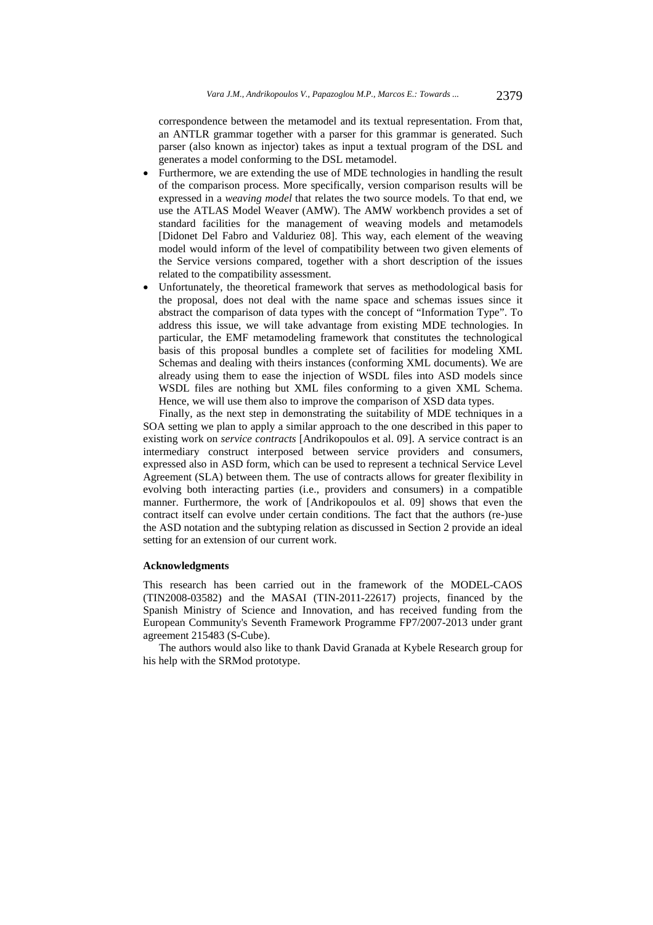correspondence between the metamodel and its textual representation. From that, an ANTLR grammar together with a parser for this grammar is generated. Such parser (also known as injector) takes as input a textual program of the DSL and generates a model conforming to the DSL metamodel.

- Furthermore, we are extending the use of MDE technologies in handling the result of the comparison process. More specifically, version comparison results will be expressed in a *weaving model* that relates the two source models. To that end, we use the ATLAS Model Weaver (AMW). The AMW workbench provides a set of standard facilities for the management of weaving models and metamodels [Didonet Del Fabro and Valduriez 08]. This way, each element of the weaving model would inform of the level of compatibility between two given elements of the Service versions compared, together with a short description of the issues related to the compatibility assessment.
- Unfortunately, the theoretical framework that serves as methodological basis for the proposal, does not deal with the name space and schemas issues since it abstract the comparison of data types with the concept of "Information Type". To address this issue, we will take advantage from existing MDE technologies. In particular, the EMF metamodeling framework that constitutes the technological basis of this proposal bundles a complete set of facilities for modeling XML Schemas and dealing with theirs instances (conforming XML documents). We are already using them to ease the injection of WSDL files into ASD models since WSDL files are nothing but XML files conforming to a given XML Schema. Hence, we will use them also to improve the comparison of XSD data types.

Finally, as the next step in demonstrating the suitability of MDE techniques in a SOA setting we plan to apply a similar approach to the one described in this paper to existing work on *service contracts* [Andrikopoulos et al. 09]. A service contract is an intermediary construct interposed between service providers and consumers, expressed also in ASD form, which can be used to represent a technical Service Level Agreement (SLA) between them. The use of contracts allows for greater flexibility in evolving both interacting parties (i.e., providers and consumers) in a compatible manner. Furthermore, the work of [Andrikopoulos et al. 09] shows that even the contract itself can evolve under certain conditions. The fact that the authors (re-)use the ASD notation and the subtyping relation as discussed in Section 2 provide an ideal setting for an extension of our current work.

#### **Acknowledgments**

This research has been carried out in the framework of the MODEL-CAOS (TIN2008-03582) and the MASAI (TIN-2011-22617) projects, financed by the Spanish Ministry of Science and Innovation, and has received funding from the European Community's Seventh Framework Programme FP7/2007-2013 under grant agreement 215483 (S-Cube).

The authors would also like to thank David Granada at Kybele Research group for his help with the SRMod prototype.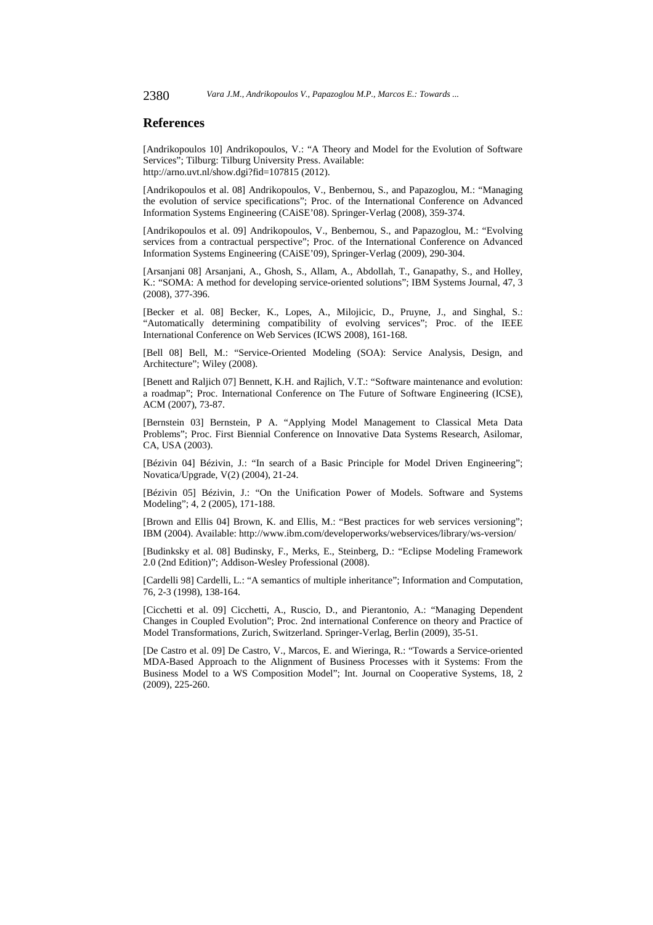## **References**

[Andrikopoulos 10] Andrikopoulos, V.: "A Theory and Model for the Evolution of Software Services"; Tilburg: Tilburg University Press. Available: http://arno.uvt.nl/show.dgi?fid=107815 (2012).

[Andrikopoulos et al. 08] Andrikopoulos, V., Benbernou, S., and Papazoglou, M.: "Managing the evolution of service specifications"; Proc. of the International Conference on Advanced Information Systems Engineering (CAiSE'08). Springer-Verlag (2008), 359-374.

[Andrikopoulos et al. 09] Andrikopoulos, V., Benbernou, S., and Papazoglou, M.: "Evolving services from a contractual perspective"; Proc. of the International Conference on Advanced Information Systems Engineering (CAiSE'09), Springer-Verlag (2009), 290-304.

[Arsanjani 08] Arsanjani, A., Ghosh, S., Allam, A., Abdollah, T., Ganapathy, S., and Holley, K.: "SOMA: A method for developing service-oriented solutions"; IBM Systems Journal, 47, 3 (2008), 377-396.

[Becker et al. 08] Becker, K., Lopes, A., Milojicic, D., Pruyne, J., and Singhal, S.: "Automatically determining compatibility of evolving services"; Proc. of the IEEE International Conference on Web Services (ICWS 2008), 161-168.

[Bell 08] Bell, M.: "Service-Oriented Modeling (SOA): Service Analysis, Design, and Architecture"; Wiley (2008).

[Benett and Raljich 07] Bennett, K.H. and Rajlich, V.T.: "Software maintenance and evolution: a roadmap"; Proc. International Conference on The Future of Software Engineering (ICSE), ACM (2007), 73-87.

[Bernstein 03] Bernstein, P A. "Applying Model Management to Classical Meta Data Problems"; Proc. First Biennial Conference on Innovative Data Systems Research, Asilomar, CA, USA (2003).

[Bézivin 04] Bézivin, J.: "In search of a Basic Principle for Model Driven Engineering"; Novatica/Upgrade, V(2) (2004), 21-24.

[Bézivin 05] Bézivin, J.: "On the Unification Power of Models. Software and Systems Modeling"; 4, 2 (2005), 171-188.

[Brown and Ellis 04] Brown, K. and Ellis, M.: "Best practices for web services versioning"; IBM (2004). Available: http://www.ibm.com/developerworks/webservices/library/ws-version/

[Budinksky et al. 08] Budinsky, F., Merks, E., Steinberg, D.: "Eclipse Modeling Framework 2.0 (2nd Edition)"; Addison-Wesley Professional (2008).

[Cardelli 98] Cardelli, L.: "A semantics of multiple inheritance"; Information and Computation, 76, 2-3 (1998), 138-164.

[Cicchetti et al. 09] Cicchetti, A., Ruscio, D., and Pierantonio, A.: "Managing Dependent Changes in Coupled Evolution"; Proc. 2nd international Conference on theory and Practice of Model Transformations, Zurich, Switzerland. Springer-Verlag, Berlin (2009), 35-51.

[De Castro et al. 09] De Castro, V., Marcos, E. and Wieringa, R.: "Towards a Service-oriented MDA-Based Approach to the Alignment of Business Processes with it Systems: From the Business Model to a WS Composition Model"; Int. Journal on Cooperative Systems, 18, 2 (2009), 225-260.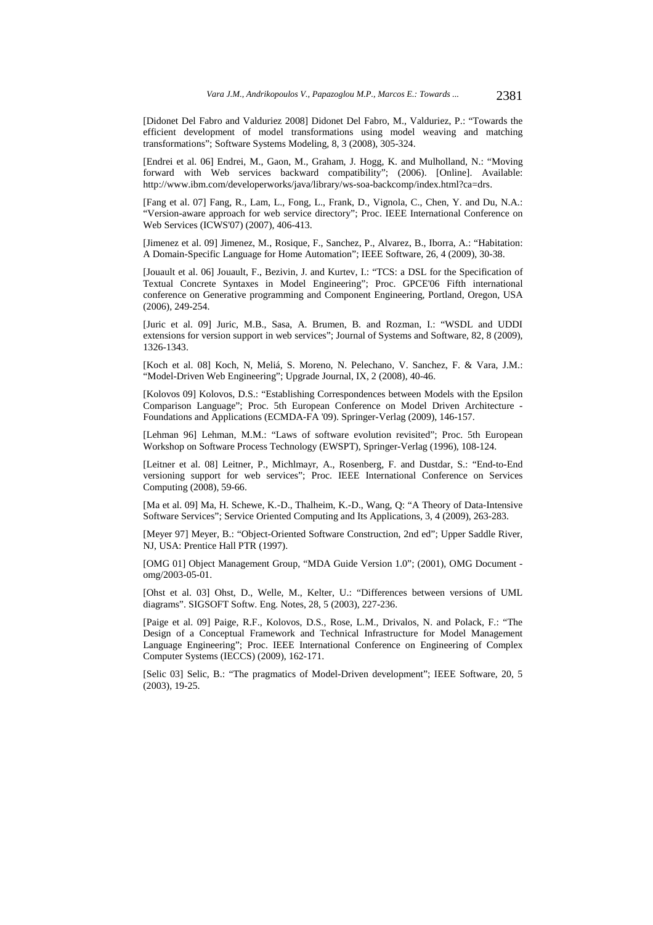[Didonet Del Fabro and Valduriez 2008] Didonet Del Fabro, M., Valduriez, P.: "Towards the efficient development of model transformations using model weaving and matching transformations"; Software Systems Modeling, 8, 3 (2008), 305-324.

[Endrei et al. 06] Endrei, M., Gaon, M., Graham, J. Hogg, K. and Mulholland, N.: "Moving forward with Web services backward compatibility"; (2006). [Online]. Available: http://www.ibm.com/developerworks/java/library/ws-soa-backcomp/index.html?ca=drs.

[Fang et al. 07] Fang, R., Lam, L., Fong, L., Frank, D., Vignola, C., Chen, Y. and Du, N.A.: "Version-aware approach for web service directory"; Proc. IEEE International Conference on Web Services (ICWS'07) (2007), 406-413.

[Jimenez et al. 09] Jimenez, M., Rosique, F., Sanchez, P., Alvarez, B., Iborra, A.: "Habitation: A Domain-Specific Language for Home Automation"; IEEE Software, 26, 4 (2009), 30-38.

[Jouault et al. 06] Jouault, F., Bezivin, J. and Kurtev, I.: "TCS: a DSL for the Specification of Textual Concrete Syntaxes in Model Engineering"; Proc. GPCE'06 Fifth international conference on Generative programming and Component Engineering, Portland, Oregon, USA (2006), 249-254.

[Juric et al. 09] Juric, M.B., Sasa, A. Brumen, B. and Rozman, I.: "WSDL and UDDI extensions for version support in web services"; Journal of Systems and Software, 82, 8 (2009), 1326-1343.

[Koch et al. 08] Koch, N, Meliá, S. Moreno, N. Pelechano, V. Sanchez, F. & Vara, J.M.: "Model-Driven Web Engineering"; Upgrade Journal, IX, 2 (2008), 40-46.

[Kolovos 09] Kolovos, D.S.: "Establishing Correspondences between Models with the Epsilon Comparison Language"; Proc. 5th European Conference on Model Driven Architecture - Foundations and Applications (ECMDA-FA '09). Springer-Verlag (2009), 146-157.

[Lehman 96] Lehman, M.M.: "Laws of software evolution revisited"; Proc. 5th European Workshop on Software Process Technology (EWSPT), Springer-Verlag (1996), 108-124.

[Leitner et al. 08] Leitner, P., Michlmayr, A., Rosenberg, F. and Dustdar, S.: "End-to-End versioning support for web services"; Proc. IEEE International Conference on Services Computing (2008), 59-66.

[Ma et al. 09] Ma, H. Schewe, K.-D., Thalheim, K.-D., Wang, Q: "A Theory of Data-Intensive Software Services"; Service Oriented Computing and Its Applications, 3, 4 (2009), 263-283.

[Meyer 97] Meyer, B.: "Object-Oriented Software Construction, 2nd ed"; Upper Saddle River, NJ, USA: Prentice Hall PTR (1997).

[OMG 01] Object Management Group, "MDA Guide Version 1.0"; (2001), OMG Document omg/2003-05-01.

[Ohst et al. 03] Ohst, D., Welle, M., Kelter, U.: "Differences between versions of UML diagrams". SIGSOFT Softw. Eng. Notes, 28, 5 (2003), 227-236.

[Paige et al. 09] Paige, R.F., Kolovos, D.S., Rose, L.M., Drivalos, N. and Polack, F.: "The Design of a Conceptual Framework and Technical Infrastructure for Model Management Language Engineering"; Proc. IEEE International Conference on Engineering of Complex Computer Systems (IECCS) (2009), 162-171.

[Selic 03] Selic, B.: "The pragmatics of Model-Driven development"; IEEE Software, 20, 5 (2003), 19-25.